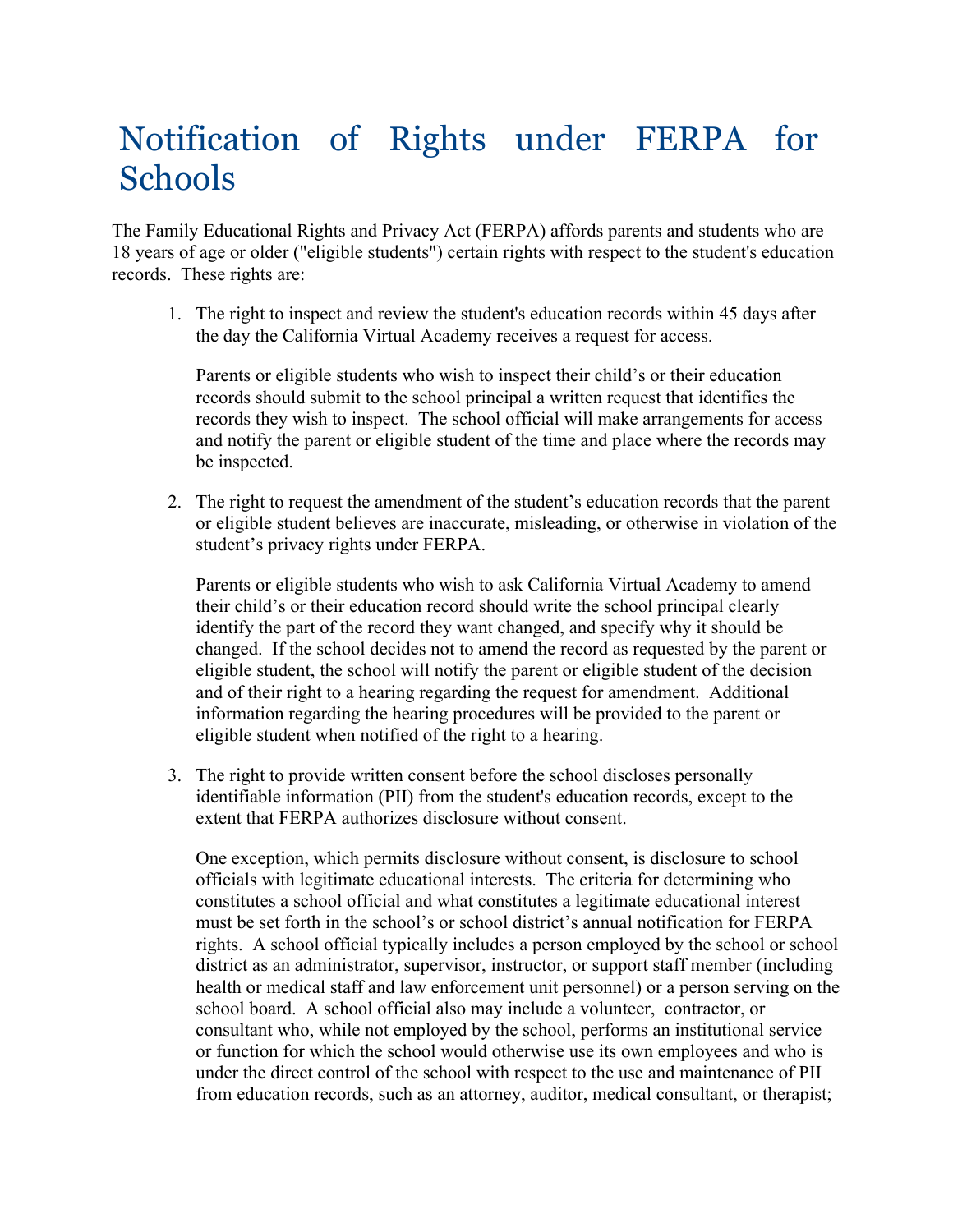## Notification of Rights under FERPA for **Schools**

The Family Educational Rights and Privacy Act (FERPA) affords parents and students who are 18 years of age or older ("eligible students") certain rights with respect to the student's education records. These rights are:

1. The right to inspect and review the student's education records within 45 days after the day the California Virtual Academy receives a request for access.

Parents or eligible students who wish to inspect their child's or their education records should submit to the school principal a written request that identifies the records they wish to inspect. The school official will make arrangements for access and notify the parent or eligible student of the time and place where the records may be inspected.

2. The right to request the amendment of the student's education records that the parent or eligible student believes are inaccurate, misleading, or otherwise in violation of the student's privacy rights under FERPA.

Parents or eligible students who wish to ask California Virtual Academy to amend their child's or their education record should write the school principal clearly identify the part of the record they want changed, and specify why it should be changed. If the school decides not to amend the record as requested by the parent or eligible student, the school will notify the parent or eligible student of the decision and of their right to a hearing regarding the request for amendment. Additional information regarding the hearing procedures will be provided to the parent or eligible student when notified of the right to a hearing.

3. The right to provide written consent before the school discloses personally identifiable information (PII) from the student's education records, except to the extent that FERPA authorizes disclosure without consent.

One exception, which permits disclosure without consent, is disclosure to school officials with legitimate educational interests. The criteria for determining who constitutes a school official and what constitutes a legitimate educational interest must be set forth in the school's or school district's annual notification for FERPA rights. A school official typically includes a person employed by the school or school district as an administrator, supervisor, instructor, or support staff member (including health or medical staff and law enforcement unit personnel) or a person serving on the school board. A school official also may include a volunteer, contractor, or consultant who, while not employed by the school, performs an institutional service or function for which the school would otherwise use its own employees and who is under the direct control of the school with respect to the use and maintenance of PII from education records, such as an attorney, auditor, medical consultant, or therapist;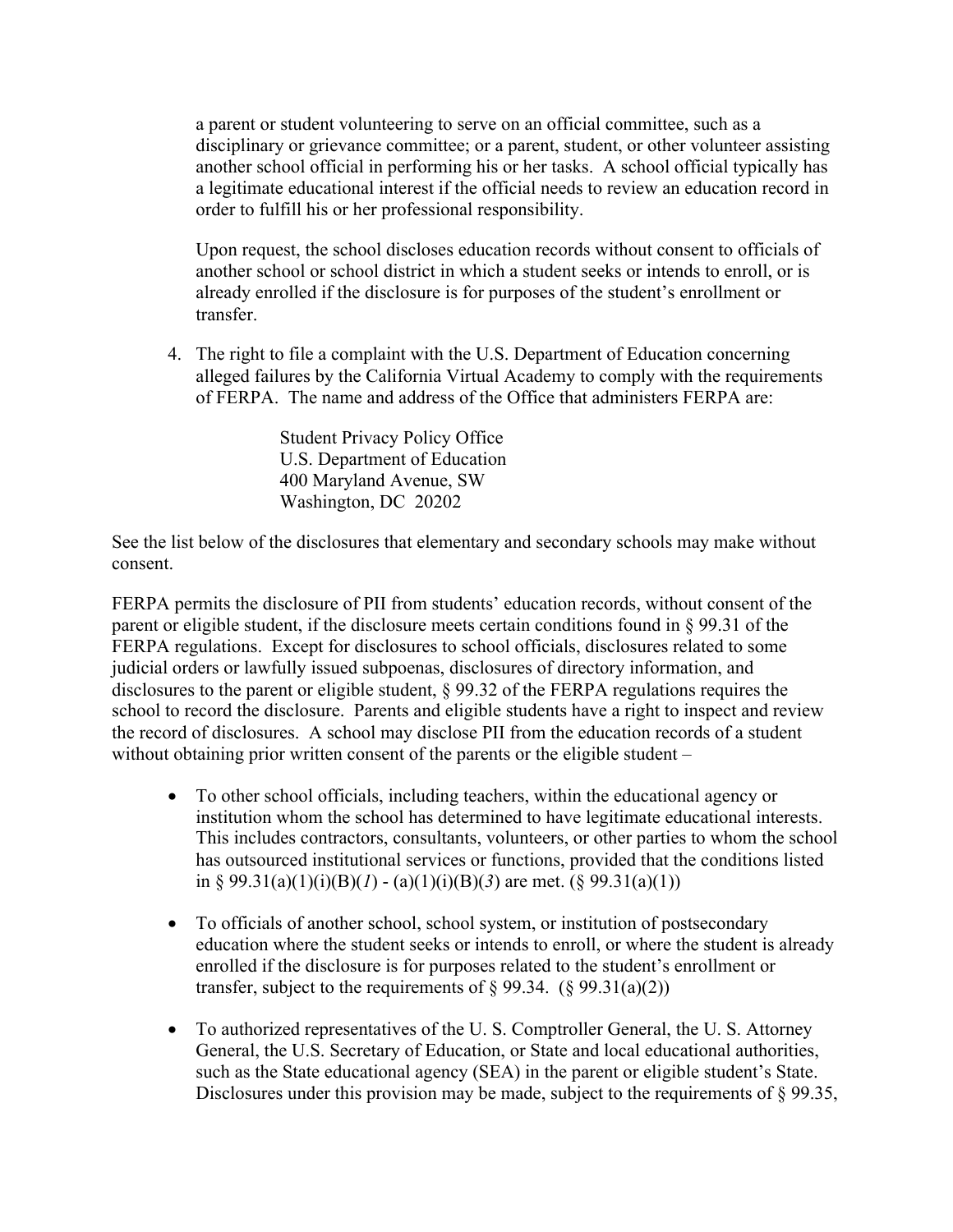a parent or student volunteering to serve on an official committee, such as a disciplinary or grievance committee; or a parent, student, or other volunteer assisting another school official in performing his or her tasks. A school official typically has a legitimate educational interest if the official needs to review an education record in order to fulfill his or her professional responsibility.

Upon request, the school discloses education records without consent to officials of another school or school district in which a student seeks or intends to enroll, or is already enrolled if the disclosure is for purposes of the student's enrollment or transfer.

4. The right to file a complaint with the U.S. Department of Education concerning alleged failures by the California Virtual Academy to comply with the requirements of FERPA. The name and address of the Office that administers FERPA are:

> Student Privacy Policy Office U.S. Department of Education 400 Maryland Avenue, SW Washington, DC 20202

See the list below of the disclosures that elementary and secondary schools may make without consent.

FERPA permits the disclosure of PII from students' education records, without consent of the parent or eligible student, if the disclosure meets certain conditions found in § 99.31 of the FERPA regulations. Except for disclosures to school officials, disclosures related to some judicial orders or lawfully issued subpoenas, disclosures of directory information, and disclosures to the parent or eligible student, § 99.32 of the FERPA regulations requires the school to record the disclosure. Parents and eligible students have a right to inspect and review the record of disclosures. A school may disclose PII from the education records of a student without obtaining prior written consent of the parents or the eligible student –

- To other school officials, including teachers, within the educational agency or institution whom the school has determined to have legitimate educational interests. This includes contractors, consultants, volunteers, or other parties to whom the school has outsourced institutional services or functions, provided that the conditions listed in § 99.31(a)(1)(i)(B)(*l*) - (a)(1)(i)(B)(3) are met. (§ 99.31(a)(1))
- To officials of another school, school system, or institution of postsecondary education where the student seeks or intends to enroll, or where the student is already enrolled if the disclosure is for purposes related to the student's enrollment or transfer, subject to the requirements of  $\S 99.34.$  ( $\S 99.31(a)(2)$ )
- To authorized representatives of the U. S. Comptroller General, the U. S. Attorney General, the U.S. Secretary of Education, or State and local educational authorities, such as the State educational agency (SEA) in the parent or eligible student's State. Disclosures under this provision may be made, subject to the requirements of § 99.35,